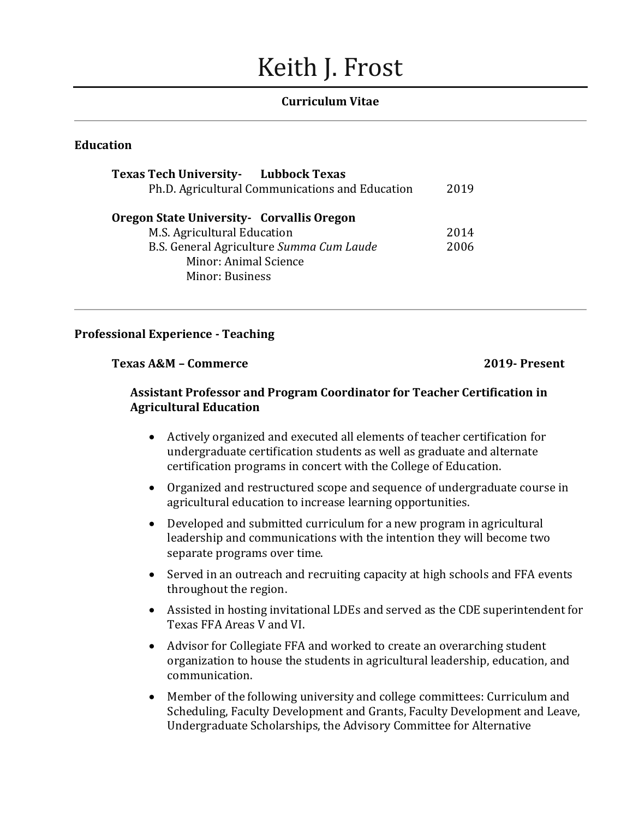# Keith J. Frost

### **Curriculum Vitae**

# **Education**

| <b>Texas Tech University-</b> Lubbock Texas<br>Ph.D. Agricultural Communications and Education                                                                           | 2019         |
|--------------------------------------------------------------------------------------------------------------------------------------------------------------------------|--------------|
| <b>Oregon State University - Corvallis Oregon</b><br>M.S. Agricultural Education<br>B.S. General Agriculture Summa Cum Laude<br>Minor: Animal Science<br>Minor: Business | 2014<br>2006 |

#### **Professional Experience - Teaching**

#### **Texas A&M – Commerce 2019- Present**

## **Assistant Professor and Program Coordinator for Teacher Certification in Agricultural Education**

- Actively organized and executed all elements of teacher certification for undergraduate certification students as well as graduate and alternate certification programs in concert with the College of Education.
- Organized and restructured scope and sequence of undergraduate course in agricultural education to increase learning opportunities.
- Developed and submitted curriculum for a new program in agricultural leadership and communications with the intention they will become two separate programs over time.
- Served in an outreach and recruiting capacity at high schools and FFA events throughout the region.
- Assisted in hosting invitational LDEs and served as the CDE superintendent for Texas FFA Areas V and VI.
- Advisor for Collegiate FFA and worked to create an overarching student organization to house the students in agricultural leadership, education, and communication.
- Member of the following university and college committees: Curriculum and Scheduling, Faculty Development and Grants, Faculty Development and Leave, Undergraduate Scholarships, the Advisory Committee for Alternative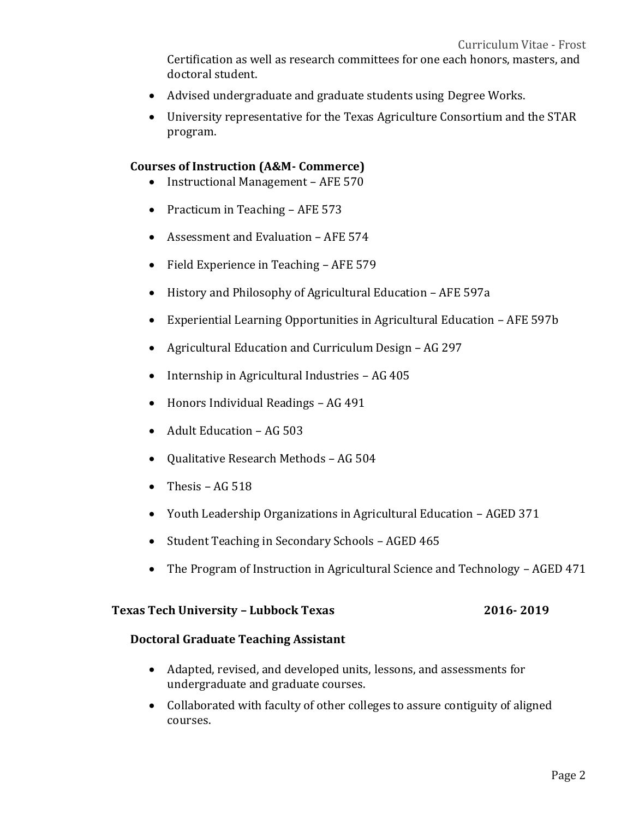Certification as well as research committees for one each honors, masters, and doctoral student.

- Advised undergraduate and graduate students using Degree Works.
- University representative for the Texas Agriculture Consortium and the STAR program.

#### **Courses of Instruction (A&M- Commerce)**

- Instructional Management AFE 570
- Practicum in Teaching AFE 573
- Assessment and Evaluation AFE 574
- Field Experience in Teaching AFE 579
- History and Philosophy of Agricultural Education AFE 597a
- Experiential Learning Opportunities in Agricultural Education AFE 597b
- Agricultural Education and Curriculum Design AG 297
- Internship in Agricultural Industries AG 405
- Honors Individual Readings AG 491
- Adult Education AG 503
- Qualitative Research Methods AG 504
- Thesis  $AG\,518$
- Youth Leadership Organizations in Agricultural Education AGED 371
- Student Teaching in Secondary Schools AGED 465
- The Program of Instruction in Agricultural Science and Technology AGED 471

# **Texas Tech University – Lubbock Texas 2016- 2019**

#### **Doctoral Graduate Teaching Assistant**

- Adapted, revised, and developed units, lessons, and assessments for undergraduate and graduate courses.
- Collaborated with faculty of other colleges to assure contiguity of aligned courses.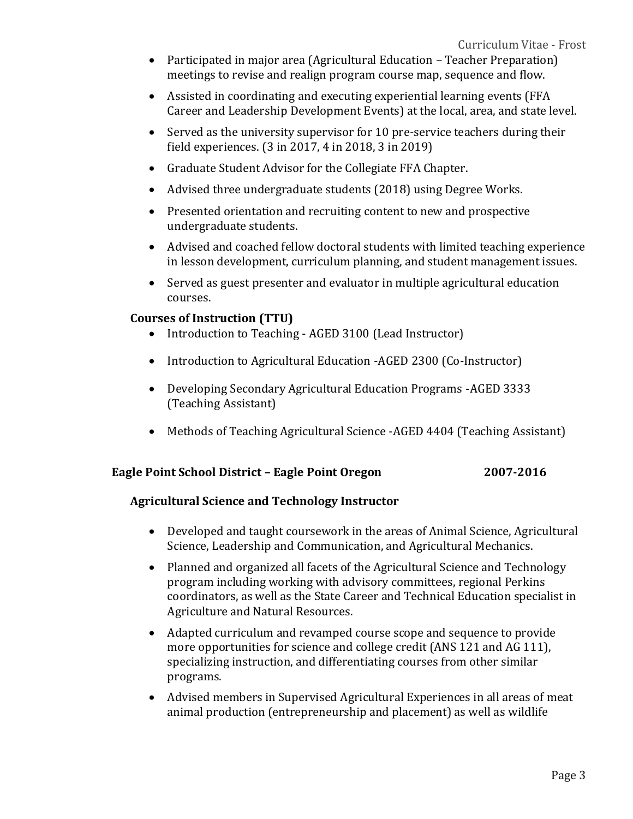- Participated in major area (Agricultural Education Teacher Preparation) meetings to revise and realign program course map, sequence and flow.
- Assisted in coordinating and executing experiential learning events (FFA Career and Leadership Development Events) at the local, area, and state level.
- Served as the university supervisor for 10 pre-service teachers during their field experiences. (3 in 2017, 4 in 2018, 3 in 2019)
- Graduate Student Advisor for the Collegiate FFA Chapter.
- Advised three undergraduate students (2018) using Degree Works.
- Presented orientation and recruiting content to new and prospective undergraduate students.
- Advised and coached fellow doctoral students with limited teaching experience in lesson development, curriculum planning, and student management issues.
- Served as guest presenter and evaluator in multiple agricultural education courses.

# **Courses of Instruction (TTU)**

- Introduction to Teaching AGED 3100 (Lead Instructor)
- Introduction to Agricultural Education -AGED 2300 (Co-Instructor)
- Developing Secondary Agricultural Education Programs -AGED 3333 (Teaching Assistant)
- Methods of Teaching Agricultural Science -AGED 4404 (Teaching Assistant)

## **Eagle Point School District – Eagle Point Oregon 2007-2016**

## **Agricultural Science and Technology Instructor**

- Developed and taught coursework in the areas of Animal Science, Agricultural Science, Leadership and Communication, and Agricultural Mechanics.
- Planned and organized all facets of the Agricultural Science and Technology program including working with advisory committees, regional Perkins coordinators, as well as the State Career and Technical Education specialist in Agriculture and Natural Resources.
- Adapted curriculum and revamped course scope and sequence to provide more opportunities for science and college credit (ANS 121 and AG 111), specializing instruction, and differentiating courses from other similar programs.
- Advised members in Supervised Agricultural Experiences in all areas of meat animal production (entrepreneurship and placement) as well as wildlife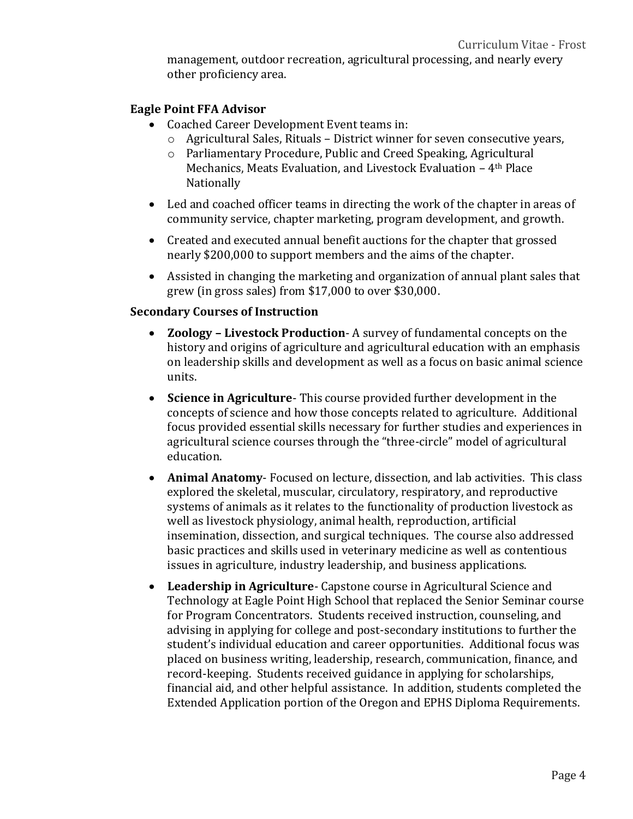management, outdoor recreation, agricultural processing, and nearly every other proficiency area.

## **Eagle Point FFA Advisor**

- Coached Career Development Event teams in:
	- $\circ$  Agricultural Sales, Rituals District winner for seven consecutive years,
	- o Parliamentary Procedure, Public and Creed Speaking, Agricultural Mechanics, Meats Evaluation, and Livestock Evaluation – 4th Place Nationally
- Led and coached officer teams in directing the work of the chapter in areas of community service, chapter marketing, program development, and growth.
- Created and executed annual benefit auctions for the chapter that grossed nearly \$200,000 to support members and the aims of the chapter.
- Assisted in changing the marketing and organization of annual plant sales that grew (in gross sales) from \$17,000 to over \$30,000.

# **Secondary Courses of Instruction**

- **Zoology – Livestock Production** A survey of fundamental concepts on the history and origins of agriculture and agricultural education with an emphasis on leadership skills and development as well as a focus on basic animal science units.
- **Science in Agriculture** This course provided further development in the concepts of science and how those concepts related to agriculture. Additional focus provided essential skills necessary for further studies and experiences in agricultural science courses through the "three-circle" model of agricultural education.
- **Animal Anatomy** Focused on lecture, dissection, and lab activities. This class explored the skeletal, muscular, circulatory, respiratory, and reproductive systems of animals as it relates to the functionality of production livestock as well as livestock physiology, animal health, reproduction, artificial insemination, dissection, and surgical techniques. The course also addressed basic practices and skills used in veterinary medicine as well as contentious issues in agriculture, industry leadership, and business applications.
- **Leadership in Agriculture** Capstone course in Agricultural Science and Technology at Eagle Point High School that replaced the Senior Seminar course for Program Concentrators. Students received instruction, counseling, and advising in applying for college and post-secondary institutions to further the student's individual education and career opportunities. Additional focus was placed on business writing, leadership, research, communication, finance, and record-keeping. Students received guidance in applying for scholarships, financial aid, and other helpful assistance. In addition, students completed the Extended Application portion of the Oregon and EPHS Diploma Requirements.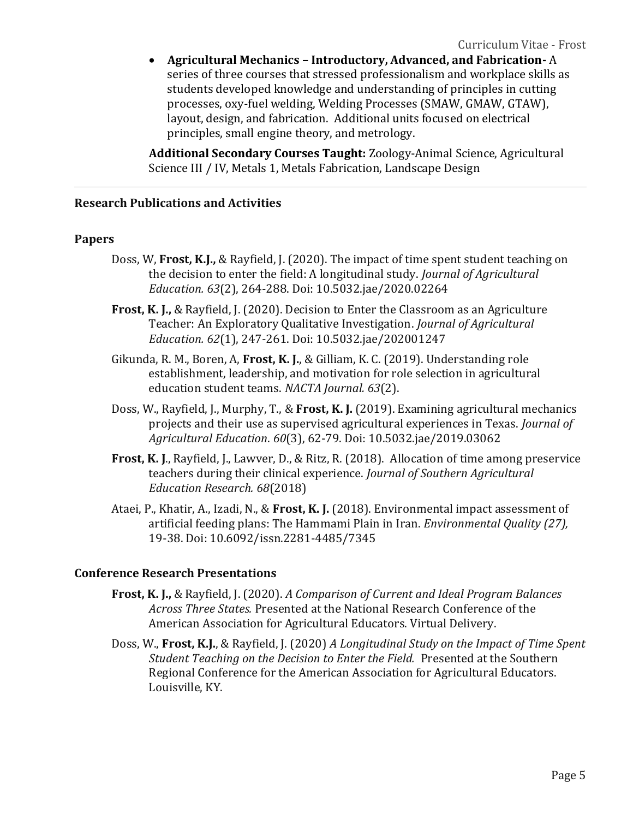• **Agricultural Mechanics – Introductory, Advanced, and Fabrication-** A series of three courses that stressed professionalism and workplace skills as students developed knowledge and understanding of principles in cutting processes, oxy-fuel welding, Welding Processes (SMAW, GMAW, GTAW), layout, design, and fabrication. Additional units focused on electrical principles, small engine theory, and metrology.

**Additional Secondary Courses Taught:** Zoology-Animal Science, Agricultural Science III / IV, Metals 1, Metals Fabrication, Landscape Design

# **Research Publications and Activities**

#### **Papers**

- Doss, W, **Frost, K.J.,** & Rayfield, J. (2020). The impact of time spent student teaching on the decision to enter the field: A longitudinal study. *Journal of Agricultural Education. 63*(2), 264-288. Doi: 10.5032.jae/2020.02264
- **Frost, K. J.,** & Rayfield, J. (2020). Decision to Enter the Classroom as an Agriculture Teacher: An Exploratory Qualitative Investigation. *Journal of Agricultural Education. 62*(1), 247-261. Doi: 10.5032.jae/202001247
- Gikunda, R. M., Boren, A, **Frost, K. J.**, & Gilliam, K. C. (2019). Understanding role establishment, leadership, and motivation for role selection in agricultural education student teams. *NACTA Journal. 63*(2).
- Doss, W., Rayfield, J., Murphy, T., & **Frost, K. J.** (2019). Examining agricultural mechanics projects and their use as supervised agricultural experiences in Texas. *Journal of Agricultural Education*. *60*(3), 62-79. Doi: 10.5032.jae/2019.03062
- **Frost, K. J**., Rayfield, J., Lawver, D., & Ritz, R. (2018). Allocation of time among preservice teachers during their clinical experience. *Journal of Southern Agricultural Education Research. 68*(2018)
- Ataei, P., Khatir, A., Izadi, N., & **Frost, K. J.** (2018). Environmental impact assessment of artificial feeding plans: The Hammami Plain in Iran. *Environmental Quality (27),*  19-38. Doi: 10.6092/issn.2281-4485/7345

## **Conference Research Presentations**

- **Frost, K. J.,** & Rayfield, J. (2020). *A Comparison of Current and Ideal Program Balances Across Three States.* Presented at the National Research Conference of the American Association for Agricultural Educators. Virtual Delivery.
- Doss, W., **Frost, K.J.**, & Rayfield, J. (2020) *A Longitudinal Study on the Impact of Time Spent Student Teaching on the Decision to Enter the Field.* Presented at the Southern Regional Conference for the American Association for Agricultural Educators. Louisville, KY.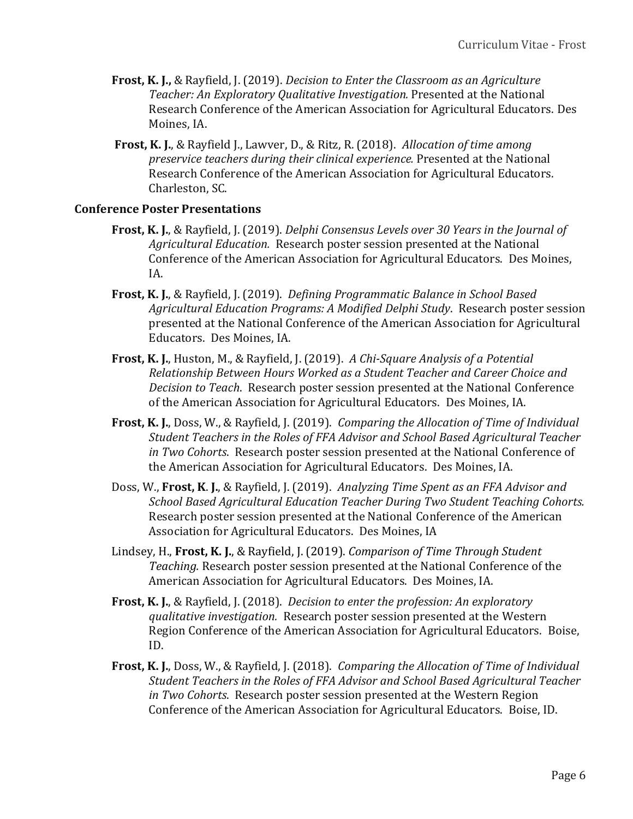- **Frost, K. J.,** & Rayfield, J. (2019). *Decision to Enter the Classroom as an Agriculture Teacher: An Exploratory Qualitative Investigation.* Presented at the National Research Conference of the American Association for Agricultural Educators. Des Moines, IA.
- **Frost, K. J.**, & Rayfield J., Lawver, D., & Ritz, R. (2018). *Allocation of time among preservice teachers during their clinical experience.* Presented at the National Research Conference of the American Association for Agricultural Educators. Charleston, SC.

#### **Conference Poster Presentations**

- **Frost, K. J.**, & Rayfield, J. (2019). *Delphi Consensus Levels over 30 Years in the Journal of Agricultural Education.* Research poster session presented at the National Conference of the American Association for Agricultural Educators. Des Moines, IA.
- **Frost, K. J.**, & Rayfield, J. (2019). *Defining Programmatic Balance in School Based Agricultural Education Programs: A Modified Delphi Study*. Research poster session presented at the National Conference of the American Association for Agricultural Educators. Des Moines, IA.
- **Frost, K. J.**, Huston, M., & Rayfield, J. (2019). *A Chi-Square Analysis of a Potential Relationship Between Hours Worked as a Student Teacher and Career Choice and Decision to Teach*. Research poster session presented at the National Conference of the American Association for Agricultural Educators. Des Moines, IA.
- **Frost, K. J.**, Doss, W., & Rayfield, J. (2019). *Comparing the Allocation of Time of Individual Student Teachers in the Roles of FFA Advisor and School Based Agricultural Teacher in Two Cohorts*. Research poster session presented at the National Conference of the American Association for Agricultural Educators. Des Moines, IA.
- Doss, W., **Frost, K**. **J.**, & Rayfield, J. (2019). *Analyzing Time Spent as an FFA Advisor and School Based Agricultural Education Teacher During Two Student Teaching Cohorts.* Research poster session presented at the National Conference of the American Association for Agricultural Educators. Des Moines, IA
- Lindsey, H., **Frost, K. J.**, & Rayfield, J. (2019). *Comparison of Time Through Student Teaching.* Research poster session presented at the National Conference of the American Association for Agricultural Educators. Des Moines, IA.
- **Frost, K. J.**, & Rayfield, J. (2018). *Decision to enter the profession: An exploratory qualitative investigation.* Research poster session presented at the Western Region Conference of the American Association for Agricultural Educators. Boise, ID.
- **Frost, K. J.**, Doss, W., & Rayfield, J. (2018). *Comparing the Allocation of Time of Individual Student Teachers in the Roles of FFA Advisor and School Based Agricultural Teacher in Two Cohorts*. Research poster session presented at the Western Region Conference of the American Association for Agricultural Educators. Boise, ID.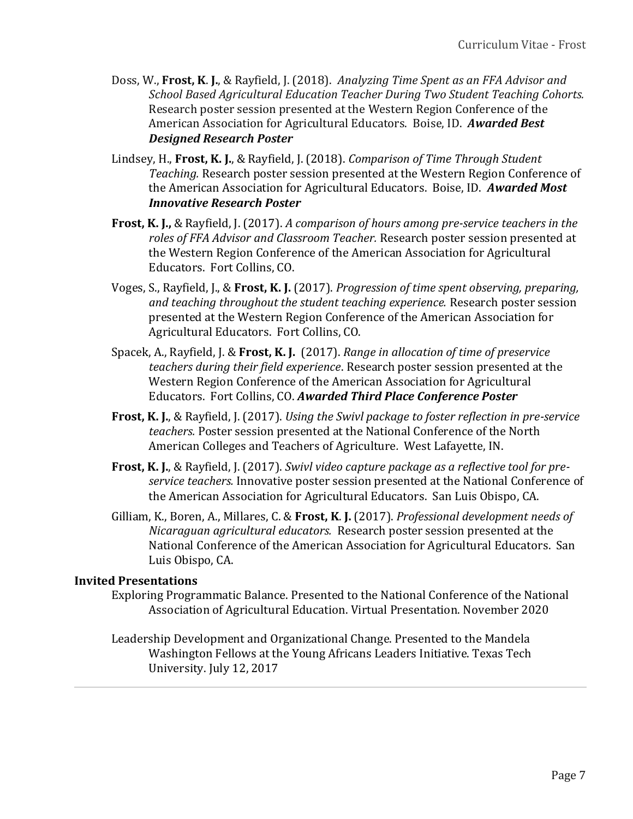- Doss, W., **Frost, K**. **J.**, & Rayfield, J. (2018). *Analyzing Time Spent as an FFA Advisor and School Based Agricultural Education Teacher During Two Student Teaching Cohorts.* Research poster session presented at the Western Region Conference of the American Association for Agricultural Educators. Boise, ID. *Awarded Best Designed Research Poster*
- Lindsey, H., **Frost, K. J.**, & Rayfield, J. (2018). *Comparison of Time Through Student Teaching.* Research poster session presented at the Western Region Conference of the American Association for Agricultural Educators. Boise, ID. *Awarded Most Innovative Research Poster*
- **Frost, K. J.,** & Rayfield, J. (2017). *A comparison of hours among pre-service teachers in the roles of FFA Advisor and Classroom Teacher.* Research poster session presented at the Western Region Conference of the American Association for Agricultural Educators. Fort Collins, CO.
- Voges, S., Rayfield, J., & **Frost, K. J.** (2017). *Progression of time spent observing, preparing, and teaching throughout the student teaching experience.* Research poster session presented at the Western Region Conference of the American Association for Agricultural Educators. Fort Collins, CO.
- Spacek, A., Rayfield, J. & **Frost, K. J.** (2017). *Range in allocation of time of preservice teachers during their field experience*. Research poster session presented at the Western Region Conference of the American Association for Agricultural Educators. Fort Collins, CO. *Awarded Third Place Conference Poster*
- **Frost, K. J.**, & Rayfield, J. (2017). *Using the Swivl package to foster reflection in pre-service teachers.* Poster session presented at the National Conference of the North American Colleges and Teachers of Agriculture*.* West Lafayette, IN.
- **Frost, K. J.**, & Rayfield, J. (2017). *Swivl video capture package as a reflective tool for preservice teachers.* Innovative poster session presented at the National Conference of the American Association for Agricultural Educators. San Luis Obispo, CA.
- Gilliam, K., Boren, A., Millares, C. & **Frost, K**. **J.** (2017). *Professional development needs of Nicaraguan agricultural educators.* Research poster session presented at the National Conference of the American Association for Agricultural Educators. San Luis Obispo, CA.

## **Invited Presentations**

- Exploring Programmatic Balance. Presented to the National Conference of the National Association of Agricultural Education. Virtual Presentation. November 2020
- Leadership Development and Organizational Change. Presented to the Mandela Washington Fellows at the Young Africans Leaders Initiative. Texas Tech University. July 12, 2017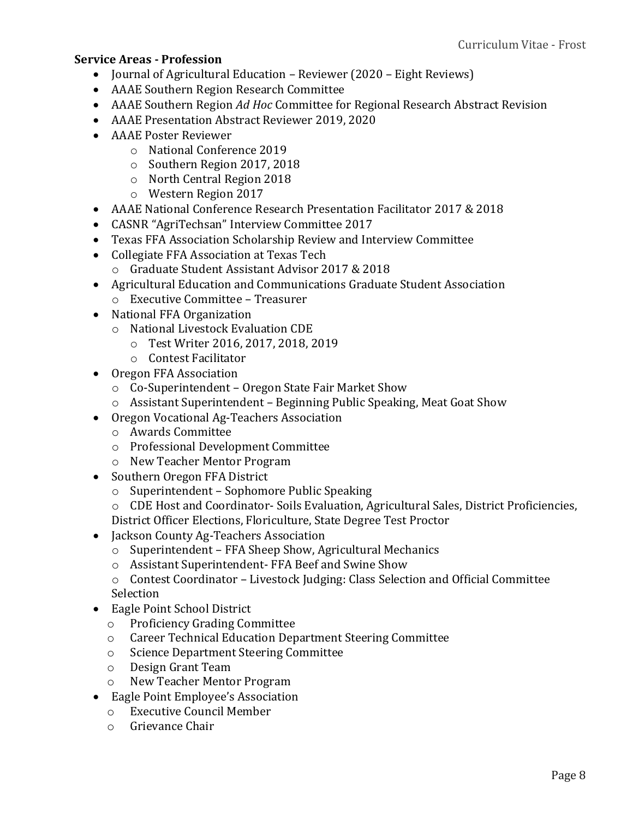### **Service Areas - Profession**

- Journal of Agricultural Education Reviewer (2020 Eight Reviews)
- AAAE Southern Region Research Committee
- AAAE Southern Region *Ad Hoc* Committee for Regional Research Abstract Revision
- AAAE Presentation Abstract Reviewer 2019, 2020
- AAAE Poster Reviewer
	- o National Conference 2019
	- o Southern Region 2017, 2018
	- o North Central Region 2018
	- o Western Region 2017
- AAAE National Conference Research Presentation Facilitator 2017 & 2018
- CASNR "AgriTechsan" Interview Committee 2017
- Texas FFA Association Scholarship Review and Interview Committee
- Collegiate FFA Association at Texas Tech
	- o Graduate Student Assistant Advisor 2017 & 2018
- Agricultural Education and Communications Graduate Student Association
	- o Executive Committee Treasurer
- National FFA Organization
	- o National Livestock Evaluation CDE
		- o Test Writer 2016, 2017, 2018, 2019
		- o Contest Facilitator
- Oregon FFA Association
	- o Co-Superintendent Oregon State Fair Market Show
	- o Assistant Superintendent Beginning Public Speaking, Meat Goat Show
- Oregon Vocational Ag-Teachers Association
	- o Awards Committee
	- o Professional Development Committee
	- o New Teacher Mentor Program
- Southern Oregon FFA District
	- o Superintendent Sophomore Public Speaking
	- o CDE Host and Coordinator- Soils Evaluation, Agricultural Sales, District Proficiencies, District Officer Elections, Floriculture, State Degree Test Proctor
- Jackson County Ag-Teachers Association
	- o Superintendent FFA Sheep Show, Agricultural Mechanics
	- o Assistant Superintendent- FFA Beef and Swine Show
	- o Contest Coordinator Livestock Judging: Class Selection and Official Committee Selection
- Eagle Point School District
	- o Proficiency Grading Committee
	- o Career Technical Education Department Steering Committee
	- o Science Department Steering Committee
	- o Design Grant Team
	- o New Teacher Mentor Program
- Eagle Point Employee's Association
	- o Executive Council Member
	- o Grievance Chair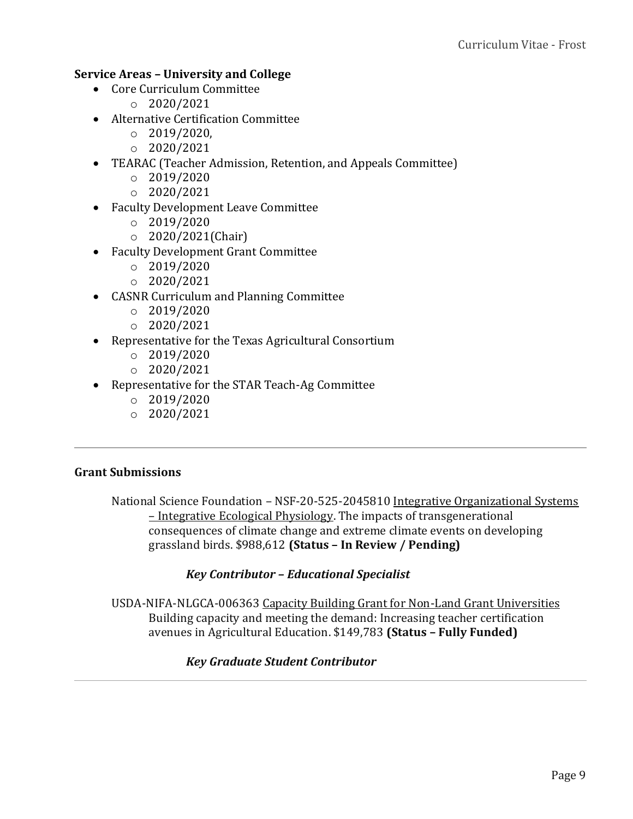# **Service Areas – University and College**

- Core Curriculum Committee
	- $O$  2020/2021
- Alternative Certification Committee
	- $O$  2019/2020,
	- $O 2020/2021$
- TEARAC (Teacher Admission, Retention, and Appeals Committee)
	- $O$  2019/2020
	- $O 2020/2021$
- Faculty Development Leave Committee
	- $O$  2019/2020
	- o 2020/2021(Chair)
- Faculty Development Grant Committee
	- $o$  2019/2020
	- $O 2020/2021$
- CASNR Curriculum and Planning Committee
	- $o$  2019/2020
	- $O 2020/2021$
- Representative for the Texas Agricultural Consortium
	- $o$  2019/2020
	- $O 2020/2021$
- Representative for the STAR Teach-Ag Committee
	- $O$  2019/2020
	- $\circ$  2020/2021

## **Grant Submissions**

National Science Foundation - NSF-20-525-2045810 Integrative Organizational Systems – Integrative Ecological Physiology. The impacts of transgenerational consequences of climate change and extreme climate events on developing grassland birds. \$988,612 **(Status – In Review / Pending)**

## *Key Contributor – Educational Specialist*

USDA-NIFA-NLGCA-006363 Capacity Building Grant for Non-Land Grant Universities Building capacity and meeting the demand: Increasing teacher certification avenues in Agricultural Education. \$149,783 **(Status – Fully Funded)**

## *Key Graduate Student Contributor*